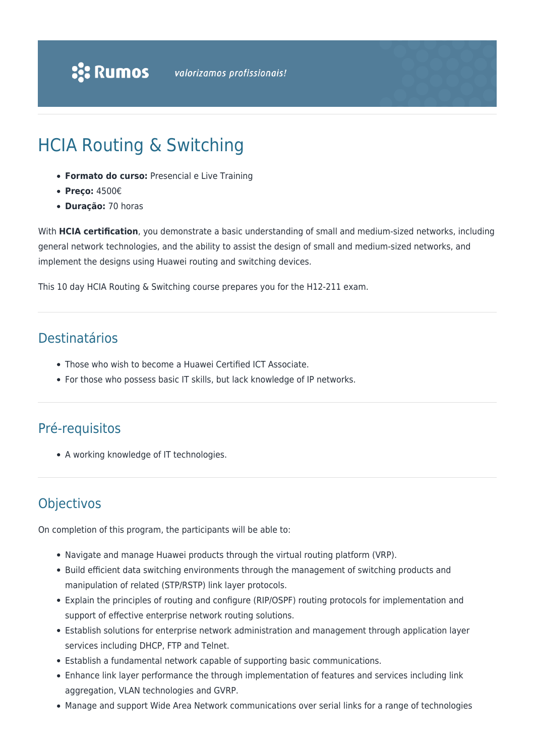# HCIA Routing & Switching

- **Formato do curso:** Presencial e Live Training
- **Preço:** 4500€
- **Duração:** 70 horas

With **HCIA certification**, you demonstrate a basic understanding of small and medium-sized networks, including general network technologies, and the ability to assist the design of small and medium-sized networks, and implement the designs using Huawei routing and switching devices.

This 10 day HCIA Routing & Switching course prepares you for the H12-211 exam.

### Destinatários

- Those who wish to become a Huawei Certified ICT Associate.
- For those who possess basic IT skills, but lack knowledge of IP networks.

## Pré-requisitos

A working knowledge of IT technologies.

# **Objectivos**

On completion of this program, the participants will be able to:

- Navigate and manage Huawei products through the virtual routing platform (VRP).
- Build efficient data switching environments through the management of switching products and manipulation of related (STP/RSTP) link layer protocols.
- Explain the principles of routing and configure (RIP/OSPF) routing protocols for implementation and support of effective enterprise network routing solutions.
- Establish solutions for enterprise network administration and management through application layer services including DHCP, FTP and Telnet.
- Establish a fundamental network capable of supporting basic communications.
- Enhance link layer performance the through implementation of features and services including link aggregation, VLAN technologies and GVRP.
- Manage and support Wide Area Network communications over serial links for a range of technologies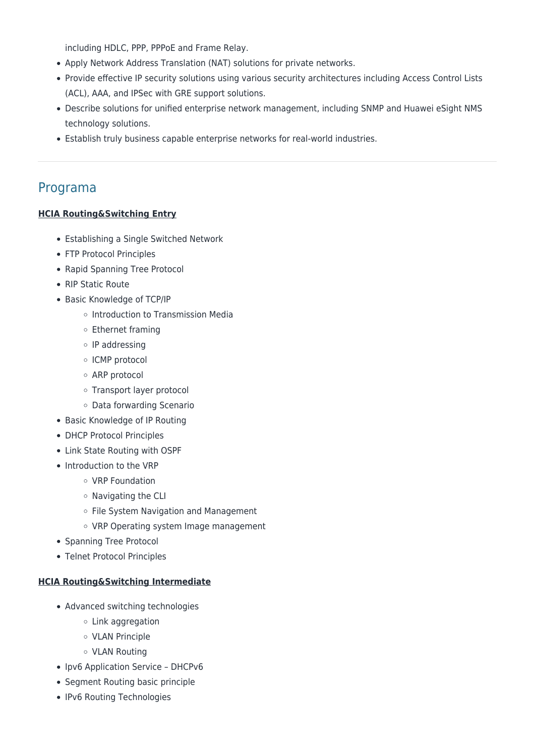including HDLC, PPP, PPPoE and Frame Relay.

- Apply Network Address Translation (NAT) solutions for private networks.
- Provide effective IP security solutions using various security architectures including Access Control Lists (ACL), AAA, and IPSec with GRE support solutions.
- Describe solutions for unified enterprise network management, including SNMP and Huawei eSight NMS technology solutions.
- Establish truly business capable enterprise networks for real-world industries.

### Programa

#### **HCIA Routing&Switching Entry**

- Establishing a Single Switched Network
- FTP Protocol Principles
- Rapid Spanning Tree Protocol
- RIP Static Route
- Basic Knowledge of TCP/IP
	- o Introduction to Transmission Media
	- Ethernet framing
	- $\circ$  IP addressing
	- o ICMP protocol
	- ARP protocol
	- Transport layer protocol
	- Data forwarding Scenario
- Basic Knowledge of IP Routing
- DHCP Protocol Principles
- Link State Routing with OSPF
- Introduction to the VRP
	- VRP Foundation
	- Navigating the CLI
	- o File System Navigation and Management
	- VRP Operating system Image management
- Spanning Tree Protocol
- Telnet Protocol Principles

#### **HCIA Routing&Switching Intermediate**

- Advanced switching technologies
	- Link aggregation
	- VLAN Principle
	- VLAN Routing
- Ipv6 Application Service DHCPv6
- Segment Routing basic principle
- IPv6 Routing Technologies